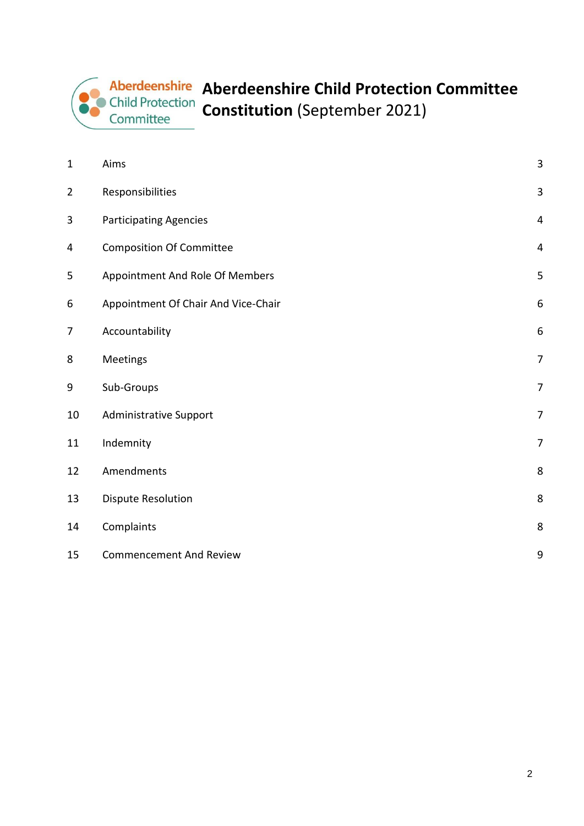# **Aberdeenshire Child Protection Committee Constitution** (September 2021)

| $\mathbf{1}$   | Aims                                | 3 |
|----------------|-------------------------------------|---|
| $\overline{2}$ | Responsibilities                    | 3 |
| 3              | <b>Participating Agencies</b>       | 4 |
| 4              | <b>Composition Of Committee</b>     | 4 |
| 5              | Appointment And Role Of Members     | 5 |
| 6              | Appointment Of Chair And Vice-Chair | 6 |
| $\overline{7}$ | Accountability                      | 6 |
| 8              | Meetings                            | 7 |
| 9              | Sub-Groups                          | 7 |
| 10             | <b>Administrative Support</b>       | 7 |
| 11             | Indemnity                           | 7 |
| 12             | Amendments                          | 8 |
| 13             | <b>Dispute Resolution</b>           | 8 |
| 14             | Complaints                          | 8 |
| 15             | <b>Commencement And Review</b>      | 9 |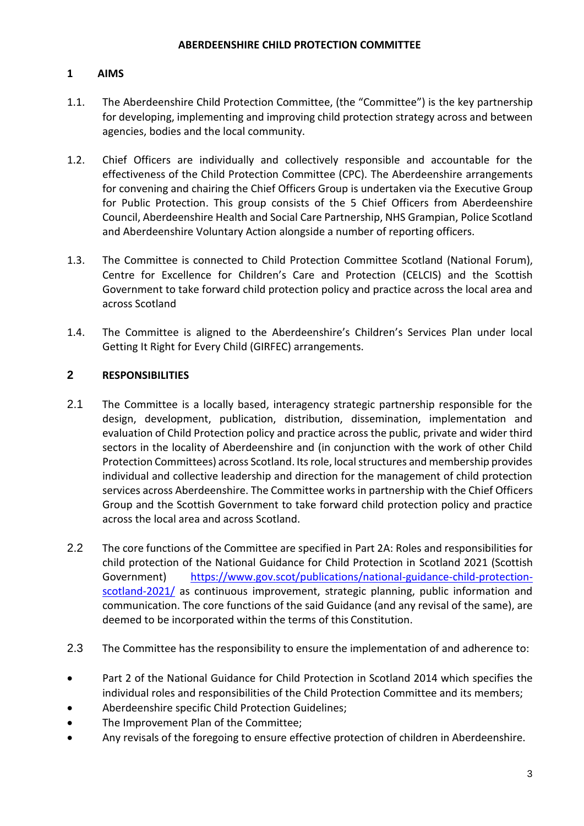# <span id="page-1-0"></span>**1 AIMS**

- 1.1. The Aberdeenshire Child Protection Committee, (the "Committee") is the key partnership for developing, implementing and improving child protection strategy across and between agencies, bodies and the local community.
- 1.2. Chief Officers are individually and collectively responsible and accountable for the effectiveness of the Child Protection Committee (CPC). The Aberdeenshire arrangements for convening and chairing the Chief Officers Group is undertaken via the Executive Group for Public Protection. This group consists of the 5 Chief Officers from Aberdeenshire Council, Aberdeenshire Health and Social Care Partnership, NHS Grampian, Police Scotland and Aberdeenshire Voluntary Action alongside a number of reporting officers.
- 1.3. The Committee is connected to Child Protection Committee Scotland (National Forum), Centre for Excellence for Children's Care and Protection (CELCIS) and the Scottish Government to take forward child protection policy and practice across the local area and across Scotland
- 1.4. The Committee is aligned to the Aberdeenshire's Children's Services Plan under local Getting It Right for Every Child (GIRFEC) arrangements.

# <span id="page-1-1"></span>**2 RESPONSIBILITIES**

- 2.1 The Committee is a locally based, interagency strategic partnership responsible for the design, development, publication, distribution, dissemination, implementation and evaluation of Child Protection policy and practice across the public, private and wider third sectors in the locality of Aberdeenshire and (in conjunction with the work of other Child Protection Committees) across Scotland. Its role, local structures and membership provides individual and collective leadership and direction for the management of child protection services across Aberdeenshire. The Committee works in partnership with the Chief Officers Group and the Scottish Government to take forward child protection policy and practice across the local area and across Scotland.
- 2.2 The core functions of the Committee are specified in Part 2A: Roles and responsibilities for child protection of the National Guidance for Child Protection in Scotland 2021 (Scottish Government) [https://www.gov.scot/publications/national-guidance-child-protection](https://www.gov.scot/publications/national-guidance-child-protection-scotland-2021/)[scotland-2021/](https://www.gov.scot/publications/national-guidance-child-protection-scotland-2021/) as continuous improvement, strategic planning, public information and communication. The core functions of the said Guidance (and any revisal of the same), are deemed to be incorporated within the terms of this Constitution.
- 2.3 The Committee has the responsibility to ensure the implementation of and adherence to:
- Part 2 of the National Guidance for Child Protection in Scotland 2014 which specifies the individual roles and responsibilities of the Child Protection Committee and its members;
- Aberdeenshire specific Child Protection Guidelines;
- The Improvement Plan of the Committee;
- Any revisals of the foregoing to ensure effective protection of children in Aberdeenshire.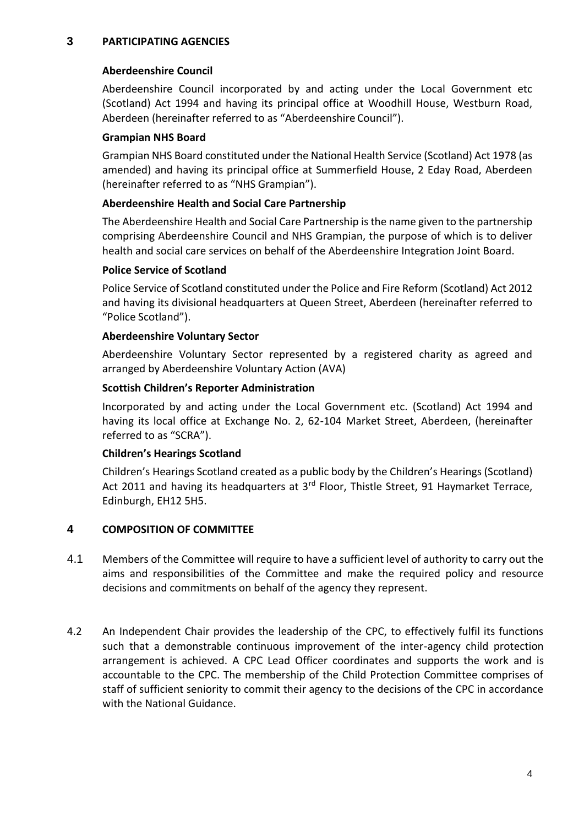# <span id="page-2-0"></span>**3 PARTICIPATING AGENCIES**

# **Aberdeenshire Council**

Aberdeenshire Council incorporated by and acting under the Local Government etc (Scotland) Act 1994 and having its principal office at Woodhill House, Westburn Road, Aberdeen (hereinafter referred to as "Aberdeenshire Council").

# **Grampian NHS Board**

Grampian NHS Board constituted under the National Health Service (Scotland) Act 1978 (as amended) and having its principal office at Summerfield House, 2 Eday Road, Aberdeen (hereinafter referred to as "NHS Grampian").

# **Aberdeenshire Health and Social Care Partnership**

The Aberdeenshire Health and Social Care Partnership is the name given to the partnership comprising Aberdeenshire Council and NHS Grampian, the purpose of which is to deliver health and social care services on behalf of the Aberdeenshire Integration Joint Board.

## **Police Service of Scotland**

Police Service of Scotland constituted under the Police and Fire Reform (Scotland) Act 2012 and having its divisional headquarters at Queen Street, Aberdeen (hereinafter referred to "Police Scotland").

## **Aberdeenshire Voluntary Sector**

Aberdeenshire Voluntary Sector represented by a registered charity as agreed and arranged by Aberdeenshire Voluntary Action (AVA)

## **Scottish Children's Reporter Administration**

Incorporated by and acting under the Local Government etc. (Scotland) Act 1994 and having its local office at Exchange No. 2, 62-104 Market Street, Aberdeen, (hereinafter referred to as "SCRA").

# **Children's Hearings Scotland**

Children's Hearings Scotland created as a public body by the Children's Hearings (Scotland) Act 2011 and having its headquarters at 3<sup>rd</sup> Floor, Thistle Street, 91 Haymarket Terrace, Edinburgh, EH12 5H5.

# <span id="page-2-1"></span>**4 COMPOSITION OF COMMITTEE**

- 4.1 Members of the Committee will require to have a sufficient level of authority to carry out the aims and responsibilities of the Committee and make the required policy and resource decisions and commitments on behalf of the agency they represent.
- 4.2 An Independent Chair provides the leadership of the CPC, to effectively fulfil its functions such that a demonstrable continuous improvement of the inter-agency child protection arrangement is achieved. A CPC Lead Officer coordinates and supports the work and is accountable to the CPC. The membership of the Child Protection Committee comprises of staff of sufficient seniority to commit their agency to the decisions of the CPC in accordance with the National Guidance.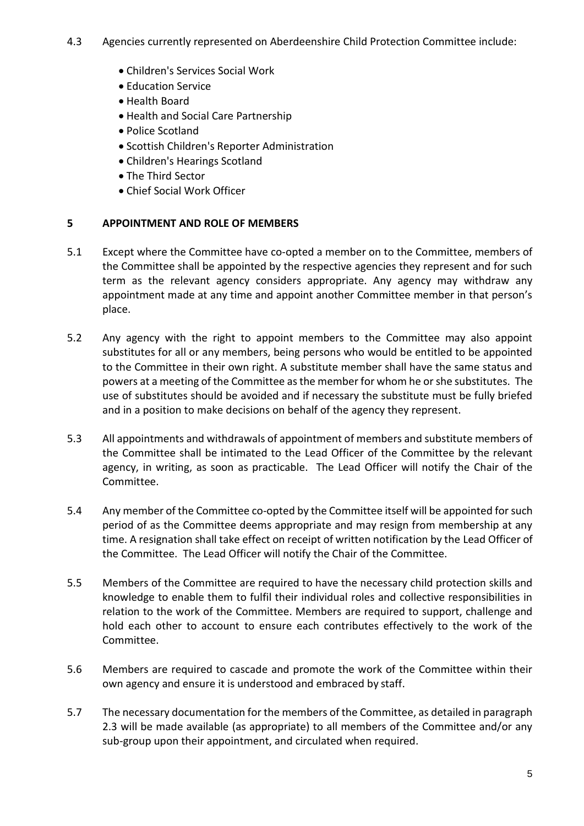- 4.3 Agencies currently represented on Aberdeenshire Child Protection Committee include:
	- Children's Services Social Work
	- Education Service
	- Health Board
	- Health and Social Care Partnership
	- Police Scotland
	- Scottish Children's Reporter Administration
	- Children's Hearings Scotland
	- The Third Sector
	- Chief Social Work Officer

# <span id="page-3-0"></span>**5 APPOINTMENT AND ROLE OF MEMBERS**

- 5.1 Except where the Committee have co-opted a member on to the Committee, members of the Committee shall be appointed by the respective agencies they represent and for such term as the relevant agency considers appropriate. Any agency may withdraw any appointment made at any time and appoint another Committee member in that person's place.
- 5.2 Any agency with the right to appoint members to the Committee may also appoint substitutes for all or any members, being persons who would be entitled to be appointed to the Committee in their own right. A substitute member shall have the same status and powers at a meeting of the Committee as the member for whom he or she substitutes. The use of substitutes should be avoided and if necessary the substitute must be fully briefed and in a position to make decisions on behalf of the agency they represent.
- 5.3 All appointments and withdrawals of appointment of members and substitute members of the Committee shall be intimated to the Lead Officer of the Committee by the relevant agency, in writing, as soon as practicable. The Lead Officer will notify the Chair of the Committee.
- 5.4 Any member of the Committee co-opted by the Committee itself will be appointed for such period of as the Committee deems appropriate and may resign from membership at any time. A resignation shall take effect on receipt of written notification by the Lead Officer of the Committee. The Lead Officer will notify the Chair of the Committee.
- 5.5 Members of the Committee are required to have the necessary child protection skills and knowledge to enable them to fulfil their individual roles and collective responsibilities in relation to the work of the Committee. Members are required to support, challenge and hold each other to account to ensure each contributes effectively to the work of the Committee.
- 5.6 Members are required to cascade and promote the work of the Committee within their own agency and ensure it is understood and embraced by staff.
- 5.7 The necessary documentation for the members of the Committee, as detailed in paragraph 2.3 will be made available (as appropriate) to all members of the Committee and/or any sub-group upon their appointment, and circulated when required.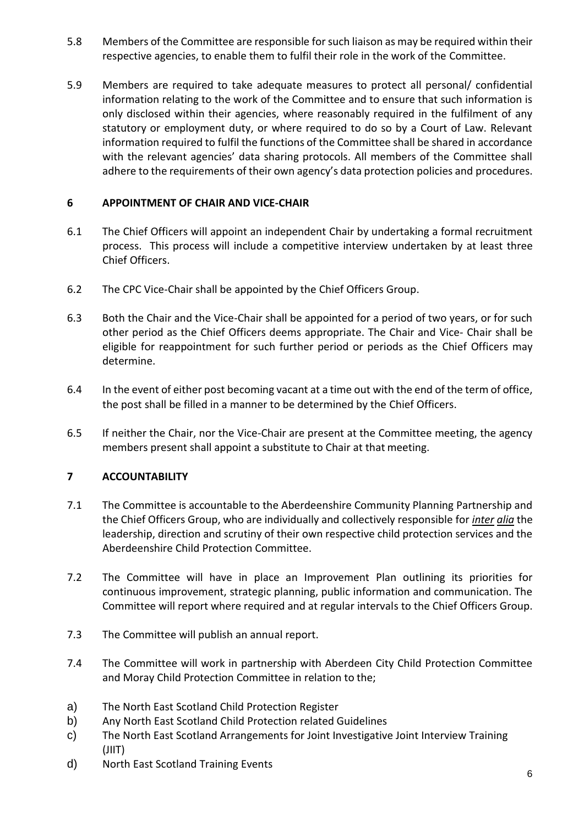- 5.8 Members of the Committee are responsible for such liaison as may be required within their respective agencies, to enable them to fulfil their role in the work of the Committee.
- 5.9 Members are required to take adequate measures to protect all personal/ confidential information relating to the work of the Committee and to ensure that such information is only disclosed within their agencies, where reasonably required in the fulfilment of any statutory or employment duty, or where required to do so by a Court of Law. Relevant information required to fulfil the functions of the Committee shall be shared in accordance with the relevant agencies' data sharing protocols. All members of the Committee shall adhere to the requirements of their own agency's data protection policies and procedures.

# <span id="page-4-0"></span>**6 APPOINTMENT OF CHAIR AND VICE-CHAIR**

- 6.1 The Chief Officers will appoint an independent Chair by undertaking a formal recruitment process. This process will include a competitive interview undertaken by at least three Chief Officers.
- 6.2 The CPC Vice-Chair shall be appointed by the Chief Officers Group.
- 6.3 Both the Chair and the Vice-Chair shall be appointed for a period of two years, or for such other period as the Chief Officers deems appropriate. The Chair and Vice- Chair shall be eligible for reappointment for such further period or periods as the Chief Officers may determine.
- 6.4 In the event of either post becoming vacant at a time out with the end of the term of office, the post shall be filled in a manner to be determined by the Chief Officers.
- 6.5 If neither the Chair, nor the Vice-Chair are present at the Committee meeting, the agency members present shall appoint a substitute to Chair at that meeting.

# <span id="page-4-1"></span>**7 ACCOUNTABILITY**

- 7.1 The Committee is accountable to the Aberdeenshire Community Planning Partnership and the Chief Officers Group, who are individually and collectively responsible for *inter alia* the leadership, direction and scrutiny of their own respective child protection services and the Aberdeenshire Child Protection Committee.
- 7.2 The Committee will have in place an Improvement Plan outlining its priorities for continuous improvement, strategic planning, public information and communication. The Committee will report where required and at regular intervals to the Chief Officers Group.
- 7.3 The Committee will publish an annual report.
- 7.4 The Committee will work in partnership with Aberdeen City Child Protection Committee and Moray Child Protection Committee in relation to the;
- a) The North East Scotland Child Protection Register
- b) Any North East Scotland Child Protection related Guidelines
- c) The North East Scotland Arrangements for Joint Investigative Joint Interview Training (JIIT)
- d) North East Scotland Training Events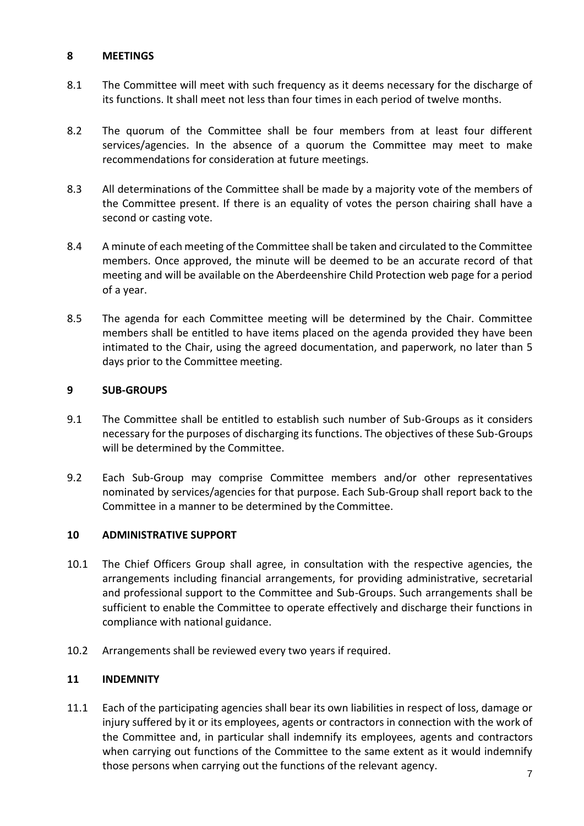## <span id="page-5-0"></span>**8 MEETINGS**

- 8.1 The Committee will meet with such frequency as it deems necessary for the discharge of its functions. It shall meet not less than four times in each period of twelve months.
- 8.2 The quorum of the Committee shall be four members from at least four different services/agencies. In the absence of a quorum the Committee may meet to make recommendations for consideration at future meetings.
- 8.3 All determinations of the Committee shall be made by a majority vote of the members of the Committee present. If there is an equality of votes the person chairing shall have a second or casting vote.
- 8.4 A minute of each meeting of the Committee shall be taken and circulated to the Committee members. Once approved, the minute will be deemed to be an accurate record of that meeting and will be available on the Aberdeenshire Child Protection web page for a period of a year.
- 8.5 The agenda for each Committee meeting will be determined by the Chair. Committee members shall be entitled to have items placed on the agenda provided they have been intimated to the Chair, using the agreed documentation, and paperwork, no later than 5 days prior to the Committee meeting.

# <span id="page-5-1"></span>**9 SUB-GROUPS**

- 9.1 The Committee shall be entitled to establish such number of Sub-Groups as it considers necessary for the purposes of discharging its functions. The objectives of these Sub-Groups will be determined by the Committee.
- 9.2 Each Sub-Group may comprise Committee members and/or other representatives nominated by services/agencies for that purpose. Each Sub-Group shall report back to the Committee in a manner to be determined by the Committee.

# <span id="page-5-2"></span>**10 ADMINISTRATIVE SUPPORT**

- 10.1 The Chief Officers Group shall agree, in consultation with the respective agencies, the arrangements including financial arrangements, for providing administrative, secretarial and professional support to the Committee and Sub-Groups. Such arrangements shall be sufficient to enable the Committee to operate effectively and discharge their functions in compliance with national guidance.
- 10.2 Arrangements shall be reviewed every two years if required.

# <span id="page-5-3"></span>**11 INDEMNITY**

11.1 Each of the participating agencies shall bear its own liabilities in respect of loss, damage or injury suffered by it or its employees, agents or contractors in connection with the work of the Committee and, in particular shall indemnify its employees, agents and contractors when carrying out functions of the Committee to the same extent as it would indemnify those persons when carrying out the functions of the relevant agency.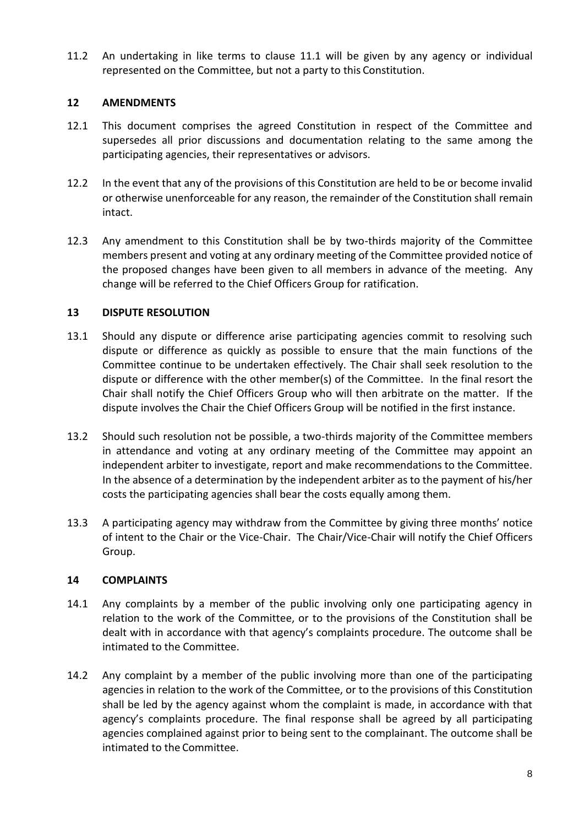11.2 An undertaking in like terms to clause 11.1 will be given by any agency or individual represented on the Committee, but not a party to this Constitution.

# <span id="page-6-0"></span>**12 AMENDMENTS**

- 12.1 This document comprises the agreed Constitution in respect of the Committee and supersedes all prior discussions and documentation relating to the same among the participating agencies, their representatives or advisors.
- 12.2 In the event that any of the provisions of this Constitution are held to be or become invalid or otherwise unenforceable for any reason, the remainder of the Constitution shall remain intact.
- 12.3 Any amendment to this Constitution shall be by two-thirds majority of the Committee members present and voting at any ordinary meeting of the Committee provided notice of the proposed changes have been given to all members in advance of the meeting. Any change will be referred to the Chief Officers Group for ratification.

## <span id="page-6-1"></span>**13 DISPUTE RESOLUTION**

- 13.1 Should any dispute or difference arise participating agencies commit to resolving such dispute or difference as quickly as possible to ensure that the main functions of the Committee continue to be undertaken effectively. The Chair shall seek resolution to the dispute or difference with the other member(s) of the Committee. In the final resort the Chair shall notify the Chief Officers Group who will then arbitrate on the matter. If the dispute involves the Chair the Chief Officers Group will be notified in the first instance.
- 13.2 Should such resolution not be possible, a two-thirds majority of the Committee members in attendance and voting at any ordinary meeting of the Committee may appoint an independent arbiter to investigate, report and make recommendations to the Committee. In the absence of a determination by the independent arbiter as to the payment of his/her costs the participating agencies shall bear the costs equally among them.
- 13.3 A participating agency may withdraw from the Committee by giving three months' notice of intent to the Chair or the Vice-Chair. The Chair/Vice-Chair will notify the Chief Officers Group.

#### <span id="page-6-2"></span>**14 COMPLAINTS**

- 14.1 Any complaints by a member of the public involving only one participating agency in relation to the work of the Committee, or to the provisions of the Constitution shall be dealt with in accordance with that agency's complaints procedure. The outcome shall be intimated to the Committee.
- 14.2 Any complaint by a member of the public involving more than one of the participating agencies in relation to the work of the Committee, or to the provisions of this Constitution shall be led by the agency against whom the complaint is made, in accordance with that agency's complaints procedure. The final response shall be agreed by all participating agencies complained against prior to being sent to the complainant. The outcome shall be intimated to the Committee.